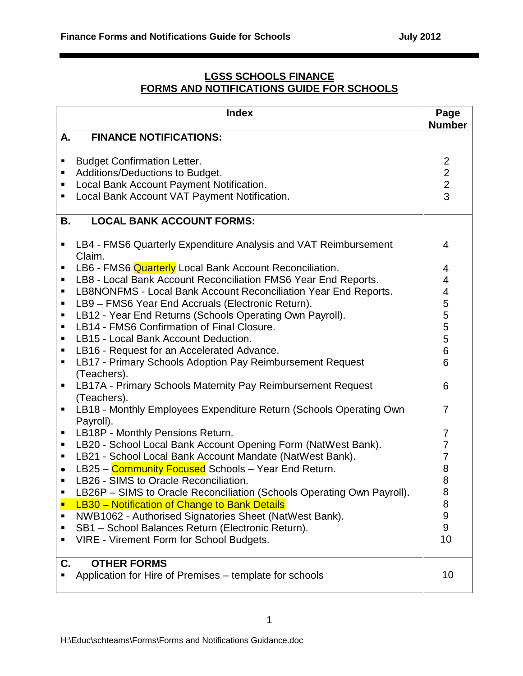## **LGSS SCHOOLS FINANCE FORMS AND NOTIFICATIONS GUIDE FOR SCHOOLS**

|                  | <b>Index</b>                                                                                                                                                      | Page<br><b>Number</b>                          |
|------------------|-------------------------------------------------------------------------------------------------------------------------------------------------------------------|------------------------------------------------|
| Α.               | <b>FINANCE NOTIFICATIONS:</b>                                                                                                                                     |                                                |
| п<br>٠<br>п<br>٠ | <b>Budget Confirmation Letter.</b><br>Additions/Deductions to Budget.<br>Local Bank Account Payment Notification.<br>Local Bank Account VAT Payment Notification. | $\begin{array}{c}\n 2 \\ 2 \\ 3\n \end{array}$ |
| Β.               | <b>LOCAL BANK ACCOUNT FORMS:</b>                                                                                                                                  |                                                |
| п                | LB4 - FMS6 Quarterly Expenditure Analysis and VAT Reimbursement<br>Claim.                                                                                         | 4                                              |
| п                | LB6 - FMS6 Quarterly Local Bank Account Reconciliation.                                                                                                           | 4                                              |
| п                | LB8 - Local Bank Account Reconciliation FMS6 Year End Reports.                                                                                                    | 4                                              |
| ٠                | LB8NONFMS - Local Bank Account Reconciliation Year End Reports.                                                                                                   | 4                                              |
| п<br>п           | LB9 - FMS6 Year End Accruals (Electronic Return).<br>LB12 - Year End Returns (Schools Operating Own Payroll).                                                     | 5                                              |
| ٠                | LB14 - FMS6 Confirmation of Final Closure.                                                                                                                        | $\frac{5}{5}$                                  |
| п                | LB15 - Local Bank Account Deduction.                                                                                                                              | 5                                              |
| п                | LB16 - Request for an Accelerated Advance.                                                                                                                        | 6                                              |
| ٠                | LB17 - Primary Schools Adoption Pay Reimbursement Request                                                                                                         | 6                                              |
|                  | (Teachers).                                                                                                                                                       |                                                |
| п                | LB17A - Primary Schools Maternity Pay Reimbursement Request                                                                                                       | 6                                              |
|                  | (Teachers).                                                                                                                                                       |                                                |
| п                | LB18 - Monthly Employees Expenditure Return (Schools Operating Own                                                                                                | $\overline{7}$                                 |
| п                | Payroll).<br>LB18P - Monthly Pensions Return.                                                                                                                     | 7                                              |
| п                | LB20 - School Local Bank Account Opening Form (NatWest Bank).                                                                                                     | $\overline{7}$                                 |
| п                | LB21 - School Local Bank Account Mandate (NatWest Bank).                                                                                                          | $\overline{7}$                                 |
| $\bullet$        | LB25 - Community Focused Schools - Year End Return.                                                                                                               | 8                                              |
| ٠                | LB26 - SIMS to Oracle Reconciliation.                                                                                                                             | 8                                              |
| ٠                | LB26P - SIMS to Oracle Reconciliation (Schools Operating Own Payroll).                                                                                            | 8                                              |
| Ξ                | LB30 - Notification of Change to Bank Details                                                                                                                     | 8                                              |
| п                | NWB1062 - Authorised Signatories Sheet (NatWest Bank).                                                                                                            | 9                                              |
| ٠                | SB1 - School Balances Return (Electronic Return).                                                                                                                 | 9                                              |
| ٠                | VIRE - Virement Form for School Budgets.                                                                                                                          | 10                                             |
| C.               | <b>OTHER FORMS</b>                                                                                                                                                |                                                |
|                  | Application for Hire of Premises – template for schools                                                                                                           | 10                                             |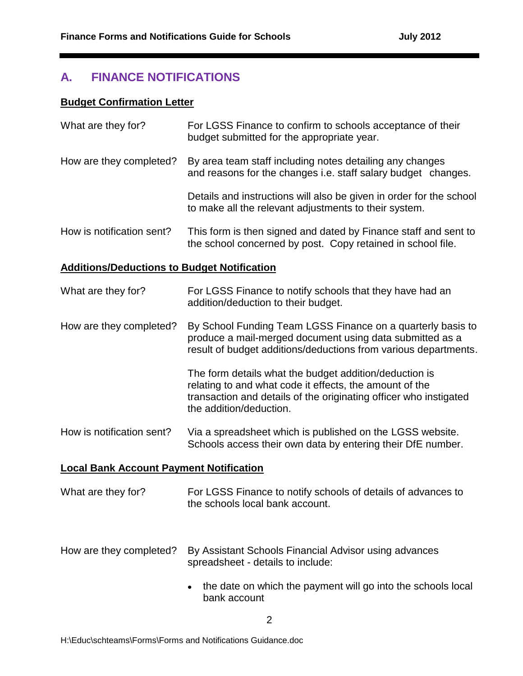# **A. FINANCE NOTIFICATIONS**

#### **Budget Confirmation Letter**

| What are they for?                                 | For LGSS Finance to confirm to schools acceptance of their<br>budget submitted for the appropriate year.                                                                                                          |  |  |  |  |
|----------------------------------------------------|-------------------------------------------------------------------------------------------------------------------------------------------------------------------------------------------------------------------|--|--|--|--|
| How are they completed?                            | By area team staff including notes detailing any changes<br>and reasons for the changes i.e. staff salary budget changes.                                                                                         |  |  |  |  |
|                                                    | Details and instructions will also be given in order for the school<br>to make all the relevant adjustments to their system.                                                                                      |  |  |  |  |
| How is notification sent?                          | This form is then signed and dated by Finance staff and sent to<br>the school concerned by post. Copy retained in school file.                                                                                    |  |  |  |  |
| <b>Additions/Deductions to Budget Notification</b> |                                                                                                                                                                                                                   |  |  |  |  |
| What are they for?                                 | For LGSS Finance to notify schools that they have had an<br>addition/deduction to their budget.                                                                                                                   |  |  |  |  |
| How are they completed?                            | By School Funding Team LGSS Finance on a quarterly basis to<br>produce a mail-merged document using data submitted as a<br>result of budget additions/deductions from various departments.                        |  |  |  |  |
|                                                    | The form details what the budget addition/deduction is<br>relating to and what code it effects, the amount of the<br>transaction and details of the originating officer who instigated<br>the addition/deduction. |  |  |  |  |
| How is notification sent?                          | Via a spreadsheet which is published on the LGSS website.<br>Schools access their own data by entering their DfE number.                                                                                          |  |  |  |  |
| <b>Local Bank Account Payment Notification</b>     |                                                                                                                                                                                                                   |  |  |  |  |
| What are they for?                                 | For LGSS Finance to notify schools of details of advances to<br>the schools local bank account.                                                                                                                   |  |  |  |  |

- How are they completed? By Assistant Schools Financial Advisor using advances spreadsheet - details to include:
	- the date on which the payment will go into the schools local bank account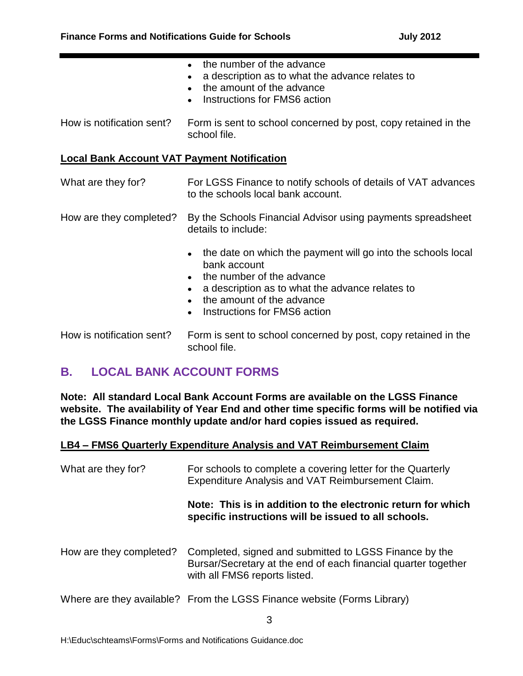|                                                    | the number of the advance<br>$\bullet$<br>a description as to what the advance relates to<br>$\bullet$<br>the amount of the advance<br>$\bullet$<br>Instructions for FMS6 action<br>$\bullet$                                                                                 |
|----------------------------------------------------|-------------------------------------------------------------------------------------------------------------------------------------------------------------------------------------------------------------------------------------------------------------------------------|
| How is notification sent?                          | Form is sent to school concerned by post, copy retained in the<br>school file.                                                                                                                                                                                                |
| <b>Local Bank Account VAT Payment Notification</b> |                                                                                                                                                                                                                                                                               |
| What are they for?                                 | For LGSS Finance to notify schools of details of VAT advances<br>to the schools local bank account.                                                                                                                                                                           |
| How are they completed?                            | By the Schools Financial Advisor using payments spreadsheet<br>details to include:                                                                                                                                                                                            |
|                                                    | the date on which the payment will go into the schools local<br>$\bullet$<br>bank account<br>the number of the advance<br>$\bullet$<br>a description as to what the advance relates to<br>the amount of the advance<br>$\bullet$<br>Instructions for FMS6 action<br>$\bullet$ |
| How is notification sent?                          | Form is sent to school concerned by post, copy retained in the<br>school file.                                                                                                                                                                                                |

# **B. LOCAL BANK ACCOUNT FORMS**

**Note: All standard Local Bank Account Forms are available on the LGSS Finance website. The availability of Year End and other time specific forms will be notified via the LGSS Finance monthly update and/or hard copies issued as required.**

#### **LB4 – FMS6 Quarterly Expenditure Analysis and VAT Reimbursement Claim**

| What are they for?      | For schools to complete a covering letter for the Quarterly<br>Expenditure Analysis and VAT Reimbursement Claim.                                          |  |  |  |  |
|-------------------------|-----------------------------------------------------------------------------------------------------------------------------------------------------------|--|--|--|--|
|                         | Note: This is in addition to the electronic return for which<br>specific instructions will be issued to all schools.                                      |  |  |  |  |
| How are they completed? | Completed, signed and submitted to LGSS Finance by the<br>Bursar/Secretary at the end of each financial quarter together<br>with all FMS6 reports listed. |  |  |  |  |
|                         | Where are they available? From the LGSS Finance website (Forms Library)                                                                                   |  |  |  |  |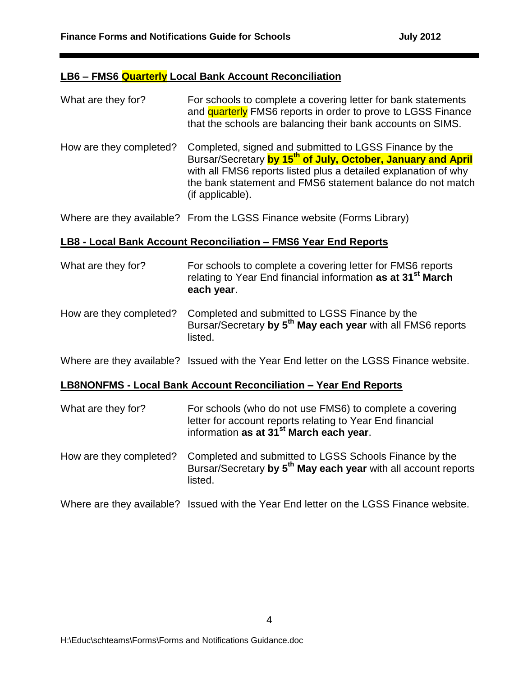#### **LB6 – FMS6 Quarterly Local Bank Account Reconciliation**

| What are they for?      | For schools to complete a covering letter for bank statements<br>and quarterly FMS6 reports in order to prove to LGSS Finance<br>that the schools are balancing their bank accounts on SIMS.                                                                                            |
|-------------------------|-----------------------------------------------------------------------------------------------------------------------------------------------------------------------------------------------------------------------------------------------------------------------------------------|
| How are they completed? | Completed, signed and submitted to LGSS Finance by the<br>Bursar/Secretary by 15 <sup>th</sup> of July, October, January and April<br>with all FMS6 reports listed plus a detailed explanation of why<br>the bank statement and FMS6 statement balance do not match<br>(if applicable). |

Where are they available? From the LGSS Finance website (Forms Library)

## **LB8 - Local Bank Account Reconciliation – FMS6 Year End Reports**

| What are they for? | For schools to complete a covering letter for FMS6 reports<br>relating to Year End financial information as at 31 <sup>st</sup> March |
|--------------------|---------------------------------------------------------------------------------------------------------------------------------------|
|                    | each year.                                                                                                                            |
|                    |                                                                                                                                       |

How are they completed? Completed and submitted to LGSS Finance by the Bursar/Secretary **by 5 th May each year** with all FMS6 reports listed.

Where are they available? Issued with the Year End letter on the LGSS Finance website.

## **LB8NONFMS - Local Bank Account Reconciliation – Year End Reports**

listed.

| What are they for?      | For schools (who do not use FMS6) to complete a covering<br>letter for account reports relating to Year End financial<br>information as at 31 <sup>st</sup> March each year. |  |  |  |
|-------------------------|------------------------------------------------------------------------------------------------------------------------------------------------------------------------------|--|--|--|
| How are they completed? | Completed and submitted to LGSS Schools Finance by the<br>Bursar/Secretary by 5 <sup>th</sup> May each year with all account reports                                         |  |  |  |

Where are they available? Issued with the Year End letter on the LGSS Finance website.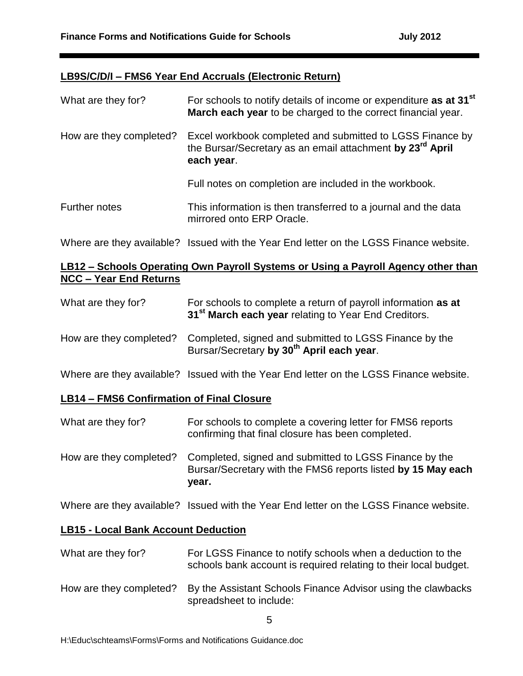#### **LB9S/C/D/I – FMS6 Year End Accruals (Electronic Return)**

| What are they for?      | For schools to notify details of income or expenditure as at 31 <sup>st</sup><br>March each year to be charged to the correct financial year.    |  |  |  |
|-------------------------|--------------------------------------------------------------------------------------------------------------------------------------------------|--|--|--|
| How are they completed? | Excel workbook completed and submitted to LGSS Finance by<br>the Bursar/Secretary as an email attachment by 23 <sup>rd</sup> April<br>each year. |  |  |  |
|                         | Full notes on completion are included in the workbook.                                                                                           |  |  |  |
| Further notes           | This information is then transferred to a journal and the data<br>mirrored onto ERP Oracle.                                                      |  |  |  |
|                         | Where are they available? Issued with the Year End letter on the LGSS Finance website.                                                           |  |  |  |

#### **LB12 – Schools Operating Own Payroll Systems or Using a Payroll Agency other than NCC – Year End Returns**

| What are they for?      | For schools to complete a return of payroll information as at<br>31 <sup>st</sup> March each year relating to Year End Creditors. |  |  |  |
|-------------------------|-----------------------------------------------------------------------------------------------------------------------------------|--|--|--|
| How are they completed? | Completed, signed and submitted to LGSS Finance by the<br>Bursar/Secretary by 30 <sup>th</sup> April each year.                   |  |  |  |
|                         | Where are they available? Issued with the Year End letter on the LGSS Finance website.                                            |  |  |  |

## **LB14 – FMS6 Confirmation of Final Closure**

| What are they for? | For schools to complete a covering letter for FMS6 reports |
|--------------------|------------------------------------------------------------|
|                    | confirming that final closure has been completed.          |

How are they completed? Completed, signed and submitted to LGSS Finance by the Bursar/Secretary with the FMS6 reports listed **by 15 May each year.**

Where are they available? Issued with the Year End letter on the LGSS Finance website.

#### **LB15 - Local Bank Account Deduction**

- What are they for? For LGSS Finance to notify schools when a deduction to the schools bank account is required relating to their local budget.
- How are they completed? By the Assistant Schools Finance Advisor using the clawbacks spreadsheet to include: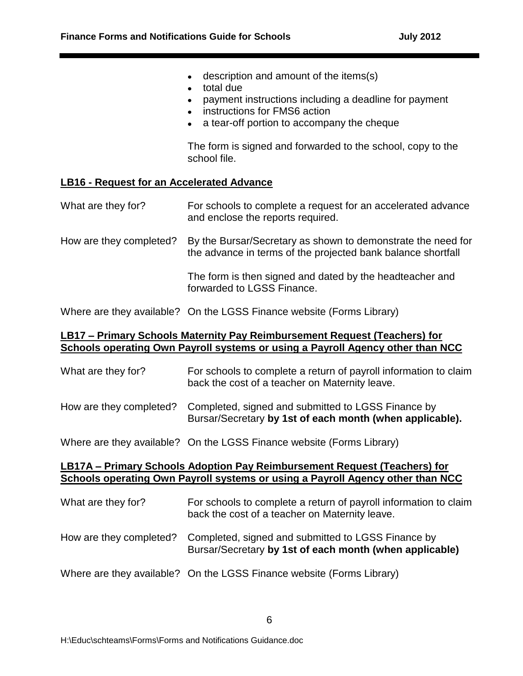- description and amount of the items(s)
- total due
- payment instructions including a deadline for payment
- instructions for FMS6 action
- a tear-off portion to accompany the cheque

The form is signed and forwarded to the school, copy to the school file.

#### **LB16 - Request for an Accelerated Advance**

| What are they for? |  |  |  |  | For schools to complete a request for an accelerated advance<br>and enclose the reports required. |  |  |  |  |  |  |  |
|--------------------|--|--|--|--|---------------------------------------------------------------------------------------------------|--|--|--|--|--|--|--|
|                    |  |  |  |  |                                                                                                   |  |  |  |  |  |  |  |

How are they completed? By the Bursar/Secretary as shown to demonstrate the need for the advance in terms of the projected bank balance shortfall

> The form is then signed and dated by the headteacher and forwarded to LGSS Finance.

Where are they available? On the LGSS Finance website (Forms Library)

#### **LB17 – Primary Schools Maternity Pay Reimbursement Request (Teachers) for Schools operating Own Payroll systems or using a Payroll Agency other than NCC**

| What are they for?      | For schools to complete a return of payroll information to claim<br>back the cost of a teacher on Maternity leave. |
|-------------------------|--------------------------------------------------------------------------------------------------------------------|
| How are they completed? | Completed, signed and submitted to LGSS Finance by<br>Bursar/Secretary by 1st of each month (when applicable).     |

Where are they available? On the LGSS Finance website (Forms Library)

#### **LB17A – Primary Schools Adoption Pay Reimbursement Request (Teachers) for Schools operating Own Payroll systems or using a Payroll Agency other than NCC**

| What are they for?      | For schools to complete a return of payroll information to claim<br>back the cost of a teacher on Maternity leave. |
|-------------------------|--------------------------------------------------------------------------------------------------------------------|
| How are they completed? | Completed, signed and submitted to LGSS Finance by<br>Bursar/Secretary by 1st of each month (when applicable)      |
|                         | Where are they available? On the LGSS Finance website (Forms Library)                                              |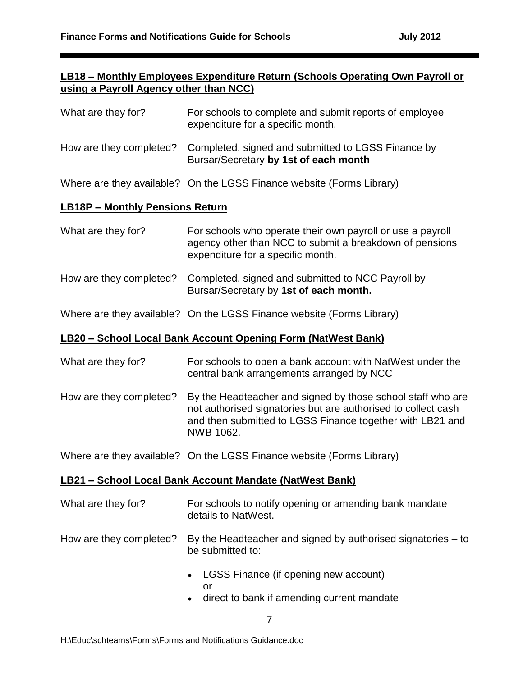## **LB18 – Monthly Employees Expenditure Return (Schools Operating Own Payroll or using a Payroll Agency other than NCC)**

| What are they for?                     | For schools to complete and submit reports of employee<br>expenditure for a specific month.                                                                |
|----------------------------------------|------------------------------------------------------------------------------------------------------------------------------------------------------------|
| How are they completed?                | Completed, signed and submitted to LGSS Finance by<br>Bursar/Secretary by 1st of each month                                                                |
|                                        | Where are they available? On the LGSS Finance website (Forms Library)                                                                                      |
| <b>LB18P - Monthly Pensions Return</b> |                                                                                                                                                            |
| What are they for?                     | For schools who operate their own payroll or use a payroll<br>agency other than NCC to submit a breakdown of pensions<br>expenditure for a specific month. |
| How are they completed?                | Completed, signed and submitted to NCC Payroll by<br>Bursar/Secretary by 1st of each month.                                                                |

Where are they available? On the LGSS Finance website (Forms Library)

#### **LB20 – School Local Bank Account Opening Form (NatWest Bank)**

| What are they for? | For schools to open a bank account with NatWest under the |
|--------------------|-----------------------------------------------------------|
|                    | central bank arrangements arranged by NCC                 |

How are they completed? By the Headteacher and signed by those school staff who are not authorised signatories but are authorised to collect cash and then submitted to LGSS Finance together with LB21 and NWB 1062.

Where are they available? On the LGSS Finance website (Forms Library)

#### **LB21 – School Local Bank Account Mandate (NatWest Bank)**

- What are they for? For schools to notify opening or amending bank mandate details to NatWest.
- How are they completed? By the Headteacher and signed by authorised signatories to be submitted to:
	- LGSS Finance (if opening new account)  $\bullet$ or
	- direct to bank if amending current mandate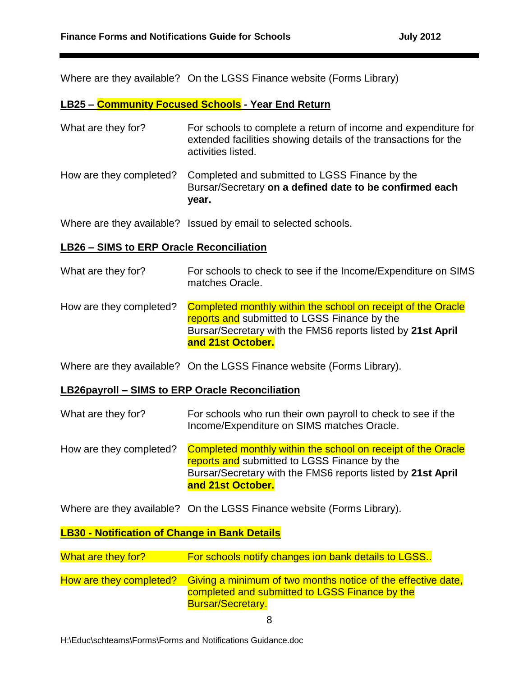Where are they available? On the LGSS Finance website (Forms Library)

#### **LB25 – Community Focused Schools - Year End Return**

| What are they for?      | For schools to complete a return of income and expenditure for<br>extended facilities showing details of the transactions for the<br>activities listed. |
|-------------------------|---------------------------------------------------------------------------------------------------------------------------------------------------------|
| How are they completed? | Completed and submitted to LGSS Finance by the<br>Bursar/Secretary on a defined date to be confirmed each<br>year.                                      |

Where are they available? Issued by email to selected schools.

#### **LB26 – SIMS to ERP Oracle Reconciliation**

| What are they for?      | For schools to check to see if the Income/Expenditure on SIMS<br>matches Oracle.                                                                                                                 |
|-------------------------|--------------------------------------------------------------------------------------------------------------------------------------------------------------------------------------------------|
| How are they completed? | Completed monthly within the school on receipt of the Oracle<br>reports and submitted to LGSS Finance by the<br>Bursar/Secretary with the FMS6 reports listed by 21st April<br>and 21st October. |

Where are they available? On the LGSS Finance website (Forms Library).

#### **LB26payroll – SIMS to ERP Oracle Reconciliation**

- What are they for? For schools who run their own payroll to check to see if the Income/Expenditure on SIMS matches Oracle.
- How are they completed? Completed monthly within the school on receipt of the Oracle reports and submitted to LGSS Finance by the Bursar/Secretary with the FMS6 reports listed by **21st April and 21st October.**

Where are they available? On the LGSS Finance website (Forms Library).

#### **LB30 - Notification of Change in Bank Details**

- What are they for? For schools notify changes ion bank details to LGSS..
- How are they completed? Giving a minimum of two months notice of the effective date, completed and submitted to LGSS Finance by the Bursar/Secretary.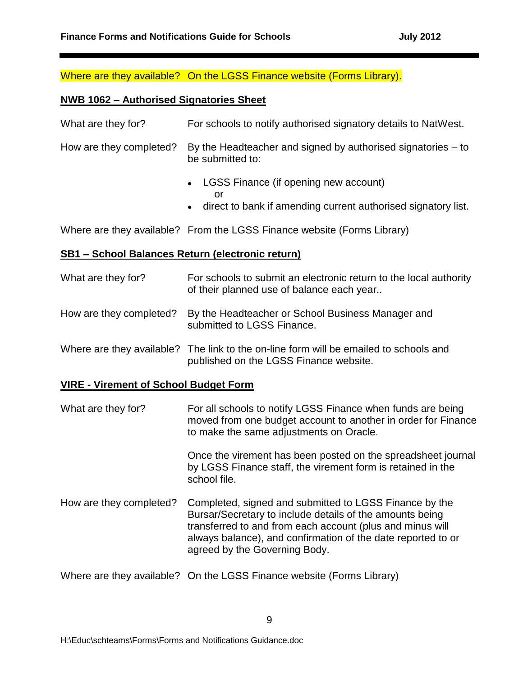Where are they available? On the LGSS Finance website (Forms Library).

## **NWB 1062 – Authorised Signatories Sheet**

| What are they for?                                      | For schools to notify authorised signatory details to NatWest.                                                   |
|---------------------------------------------------------|------------------------------------------------------------------------------------------------------------------|
| How are they completed?                                 | By the Headteacher and signed by authorised signatories $-$ to<br>be submitted to:                               |
|                                                         | • LGSS Finance (if opening new account)<br>or<br>• direct to bank if amending current authorised signatory list. |
|                                                         | Where are they available? From the LGSS Finance website (Forms Library)                                          |
| <u>SB1 – School Balances Return (electronic return)</u> |                                                                                                                  |

# What are they for? For schools to submit an electronic return to the local authority of their planned use of balance each year..

- How are they completed? By the Headteacher or School Business Manager and submitted to LGSS Finance.
- Where are they available? The link to the on-line form will be emailed to schools and published on the LGSS Finance website.

# **VIRE - Virement of School Budget Form**

| What are they for?      | For all schools to notify LGSS Finance when funds are being<br>moved from one budget account to another in order for Finance<br>to make the same adjustments on Oracle.                                                                                                          |
|-------------------------|----------------------------------------------------------------------------------------------------------------------------------------------------------------------------------------------------------------------------------------------------------------------------------|
|                         | Once the virement has been posted on the spreadsheet journal<br>by LGSS Finance staff, the virement form is retained in the<br>school file.                                                                                                                                      |
| How are they completed? | Completed, signed and submitted to LGSS Finance by the<br>Bursar/Secretary to include details of the amounts being<br>transferred to and from each account (plus and minus will<br>always balance), and confirmation of the date reported to or<br>agreed by the Governing Body. |

Where are they available? On the LGSS Finance website (Forms Library)